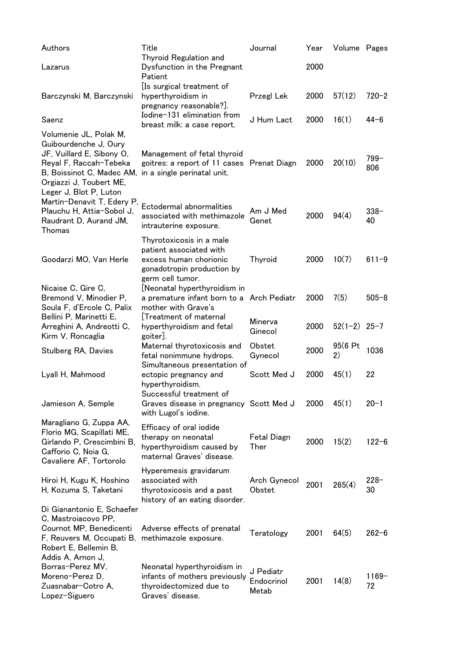| Authors                                                                                                                                                                                  | Title<br>Thyroid Regulation and                                                                                                 | Journal                          | Year | Volume Pages   |                |
|------------------------------------------------------------------------------------------------------------------------------------------------------------------------------------------|---------------------------------------------------------------------------------------------------------------------------------|----------------------------------|------|----------------|----------------|
| Lazarus                                                                                                                                                                                  | Dysfunction in the Pregnant<br>Patient                                                                                          |                                  | 2000 |                |                |
| Barczynski M, Barczynski                                                                                                                                                                 | [Is surgical treatment of<br>hyperthyroidism in<br>pregnancy reasonable?].                                                      | Przegl Lek                       | 2000 | 57(12)         | $720 - 2$      |
| Saenz                                                                                                                                                                                    | Iodine-131 elimination from<br>breast milk: a case report.                                                                      | J Hum Lact                       | 2000 | 16(1)          | $44 - 6$       |
| Volumenie JL, Polak M,<br>Guibourdenche J, Oury<br>JF, Vuillard E, Sibony O,<br>Reyal F, Raccah-Tebeka<br>B, Boissinot C, Madec AM,<br>Orgiazzi J, Toubert ME,<br>Leger J, Blot P, Luton | Management of fetal thyroid<br>goitres: a report of 11 cases Prenat Diagn<br>in a single perinatal unit.                        |                                  | 2000 | 20(10)         | $799-$<br>806  |
| Martin-Denavit T, Edery P<br>Plauchu H, Attia-Sobol J,<br>Raudrant D, Aurand JM,<br>Thomas                                                                                               | Ectodermal abnormalities<br>associated with methimazole<br>intrauterine exposure.                                               | Am J Med<br>Genet                | 2000 | 94(4)          | $338 -$<br>40  |
| Goodarzi MO, Van Herle                                                                                                                                                                   | Thyrotoxicosis in a male<br>patient associated with<br>excess human chorionic<br>gonadotropin production by<br>germ cell tumor. | <b>Thyroid</b>                   | 2000 | 10(7)          | $611 - 9$      |
| Nicaise C, Gire C,<br>Bremond V, Minodier P,<br>Soula F, d'Ercole C, Palix                                                                                                               | [Neonatal hyperthyroidism in<br>a premature infant born to a Arch Pediatr<br>mother with Grave's                                |                                  | 2000 | 7(5)           | $505 - 8$      |
| Bellini P, Marinetti E,<br>Arreghini A, Andreotti C,<br>Kirm V, Roncaglia                                                                                                                | [Treatment of maternal<br>hyperthyroidism and fetal<br>goiter].                                                                 | Minerva<br>Ginecol               | 2000 | $52(1-2)$ 25-7 |                |
| Stulberg RA, Davies                                                                                                                                                                      | Maternal thyrotoxicosis and<br>fetal nonimmune hydrops.                                                                         | Obstet<br>Gynecol                | 2000 | 95(6 Pt<br>2)  | 1036           |
| Lyall H, Mahmood                                                                                                                                                                         | Simultaneous presentation of<br>ectopic pregnancy and<br>hyperthyroidism.                                                       | Scott Med J                      | 2000 | 45(1)          | 22             |
| Jamieson A, Semple                                                                                                                                                                       | Successful treatment of<br>Graves disease in pregnancy Scott Med J<br>with Lugol's iodine.                                      |                                  | 2000 | 45(1)          | $20 - 1$       |
| Maragliano G, Zuppa AA,<br>Florio MG, Scapillati ME,<br>Girlando P, Crescimbini B,<br>Cafforio C, Noia G,<br>Cavaliere AF, Tortorolo                                                     | Efficacy of oral iodide<br>therapy on neonatal<br>hyperthyroidism caused by<br>maternal Graves' disease.                        | Fetal Diagn<br>Ther              | 2000 | 15(2)          | $122 - 6$      |
| Hiroi H, Kugu K, Hoshino<br>H, Kozuma S, Taketani                                                                                                                                        | Hyperemesis gravidarum<br>associated with<br>thyrotoxicosis and a past<br>history of an eating disorder.                        | Arch Gynecol<br>Obstet           | 2001 | 265(4)         | $228 -$<br>30  |
| Di Gianantonio E, Schaefer<br>C, Mastroiacovo PP,<br>Cournot MP, Benedicenti<br>F, Reuvers M, Occupati B,<br>Robert E, Bellemin B,                                                       | Adverse effects of prenatal<br>methimazole exposure.                                                                            | Teratology                       | 2001 | 64(5)          | $262 - 6$      |
| Addis A, Arnon J,<br>Borras-Perez MV,<br>Moreno-Perez D,<br>Zuasnabar-Cotro A,<br>Lopez-Siguero                                                                                          | Neonatal hyperthyroidism in<br>infants of mothers previously<br>thyroidectomized due to<br>Graves' disease.                     | J Pediatr<br>Endocrinol<br>Metab | 2001 | 14(8)          | $1169 -$<br>72 |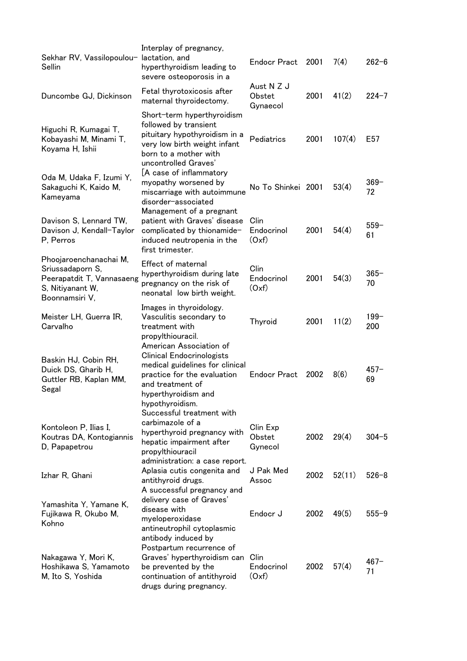| Sekhar RV, Vassilopoulou- lactation, and<br>Sellin                                                            | Interplay of pregnancy,<br>hyperthyroidism leading to<br>severe osteoporosis in a                                                                                                           | Endocr Pract                     | 2001 | 7(4)   | $262 - 6$       |
|---------------------------------------------------------------------------------------------------------------|---------------------------------------------------------------------------------------------------------------------------------------------------------------------------------------------|----------------------------------|------|--------|-----------------|
| Duncombe GJ, Dickinson                                                                                        | Fetal thyrotoxicosis after<br>maternal thyroidectomy.                                                                                                                                       | Aust N Z J<br>Obstet<br>Gynaecol | 2001 | 41(2)  | $224 - 7$       |
| Higuchi R, Kumagai T,<br>Kobayashi M, Minami T,<br>Koyama H, Ishii                                            | Short-term hyperthyroidism<br>followed by transient<br>pituitary hypothyroidism in a<br>very low birth weight infant<br>born to a mother with<br>uncontrolled Graves'                       | Pediatrics                       | 2001 | 107(4) | E <sub>57</sub> |
| Oda M, Udaka F, Izumi Y,<br>Sakaguchi K, Kaido M,<br>Kameyama                                                 | [A case of inflammatory<br>myopathy worsened by<br>miscarriage with autoimmune<br>disorder-associated                                                                                       | No To Shinkei 2001               |      | 53(4)  | $369 -$<br>72   |
| Davison S, Lennard TW,<br>Davison J, Kendall-Taylor<br>P, Perros                                              | Management of a pregnant<br>patient with Graves' disease<br>complicated by thionamide-<br>induced neutropenia in the<br>first trimester.                                                    | Clin<br>Endocrinol<br>(Oxf)      | 2001 | 54(4)  | $559 -$<br>61   |
| Phoojaroenchanachai M,<br>Sriussadaporn S,<br>Peerapatdit T, Vannasaeng<br>S, Nitiyanant W,<br>Boonnamsiri V, | Effect of maternal<br>hyperthyroidism during late<br>pregnancy on the risk of<br>neonatal low birth weight.                                                                                 | Clin<br>Endocrinol<br>(Oxf)      | 2001 | 54(3)  | $365 -$<br>70   |
| Meister LH, Guerra IR,<br>Carvalho                                                                            | Images in thyroidology.<br>Vasculitis secondary to<br>treatment with<br>propylthiouracil.                                                                                                   | Thyroid                          | 2001 | 11(2)  | $199 -$<br>200  |
| Baskin HJ, Cobin RH,<br>Duick DS, Gharib H,<br>Guttler RB, Kaplan MM,<br>Segal                                | American Association of<br><b>Clinical Endocrinologists</b><br>medical guidelines for clinical<br>practice for the evaluation<br>and treatment of<br>hyperthyroidism and<br>hypothyroidism. | <b>Endocr Pract</b>              | 2002 | 8(6)   | $457 -$<br>69   |
| Kontoleon P, Ilias I,<br>Koutras DA, Kontogiannis<br>D, Papapetrou                                            | Successful treatment with<br>carbimazole of a<br>hyperthyroid pregnancy with<br>hepatic impairment after<br>propylthiouracil                                                                | Clin Exp<br>Obstet<br>Gynecol    | 2002 | 29(4)  | $304 - 5$       |
| Izhar R, Ghani                                                                                                | administration: a case report.<br>Aplasia cutis congenita and<br>antithyroid drugs.<br>A successful pregnancy and                                                                           | J Pak Med<br>Assoc               | 2002 | 52(11) | $526 - 8$       |
| Yamashita Y, Yamane K,<br>Fujikawa R, Okubo M,<br>Kohno                                                       | delivery case of Graves'<br>disease with<br>myeloperoxidase<br>antineutrophil cytoplasmic<br>antibody induced by                                                                            | Endocr J                         | 2002 | 49(5)  | $555 - 9$       |
| Nakagawa Y, Mori K,<br>Hoshikawa S, Yamamoto<br>M, Ito S, Yoshida                                             | Postpartum recurrence of<br>Graves' hyperthyroidism can<br>be prevented by the<br>continuation of antithyroid<br>drugs during pregnancy.                                                    | Clin<br>Endocrinol<br>(Oxf)      | 2002 | 57(4)  | $467 -$<br>71   |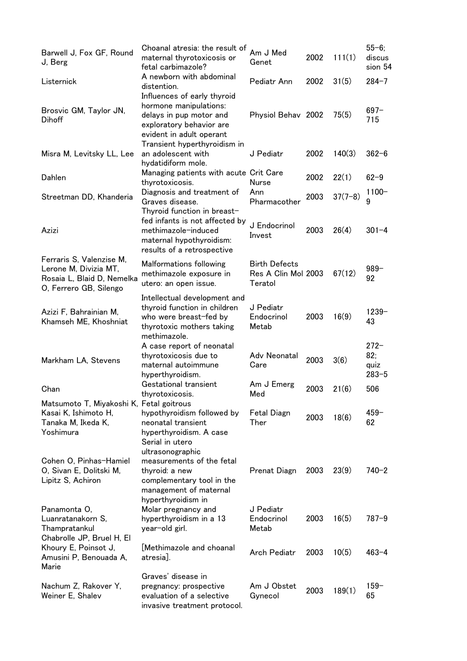| Barwell J, Fox GF, Round<br>J, Berg                                                                       | Choanal atresia: the result of<br>maternal thyrotoxicosis or<br>fetal carbimazole?                                                           | Am J Med<br>Genet                                      | 2002 | 111(1)    | $55 - 6$<br>discus<br>sion 54       |
|-----------------------------------------------------------------------------------------------------------|----------------------------------------------------------------------------------------------------------------------------------------------|--------------------------------------------------------|------|-----------|-------------------------------------|
| Listernick                                                                                                | A newborn with abdominal<br>distention.                                                                                                      | Pediatr Ann                                            | 2002 | 31(5)     | $284 - 7$                           |
| Brosvic GM, Taylor JN,<br>Dihoff                                                                          | Influences of early thyroid<br>hormone manipulations:<br>delays in pup motor and<br>exploratory behavior are<br>evident in adult operant     | Physiol Behav 2002                                     |      | 75(5)     | $697 -$<br>715                      |
| Misra M, Levitsky LL, Lee                                                                                 | Transient hyperthyroidism in<br>an adolescent with<br>hydatidiform mole.                                                                     | J Pediatr                                              | 2002 | 140(3)    | $362 - 6$                           |
| Dahlen                                                                                                    | Managing patients with acute Crit Care<br>thyrotoxicosis.                                                                                    | <b>Nurse</b>                                           | 2002 | 22(1)     | $62 - 9$                            |
| Streetman DD, Khanderia                                                                                   | Diagnosis and treatment of<br>Graves disease.<br>Thyroid function in breast-                                                                 | Ann<br>Pharmacother                                    | 2003 | $37(7-8)$ | $1100 -$<br>9                       |
| Azizi                                                                                                     | fed infants is not affected by<br>methimazole-induced<br>maternal hypothyroidism:<br>results of a retrospective                              | J Endocrinol<br>Invest                                 | 2003 | 26(4)     | $301 - 4$                           |
| Ferraris S, Valenzise M,<br>Lerone M, Divizia MT,<br>Rosaia L, Blaid D, Nemelka<br>O, Ferrero GB, Silengo | Malformations following<br>methimazole exposure in<br>utero: an open issue.                                                                  | <b>Birth Defects</b><br>Res A Clin Mol 2003<br>Teratol |      | 67(12)    | $989 -$<br>92                       |
| Azizi F, Bahrainian M,<br>Khamseh ME, Khoshniat                                                           | Intellectual development and<br>thyroid function in children<br>who were breast-fed by<br>thyrotoxic mothers taking<br>methimazole.          | J Pediatr<br>Endocrinol<br>Metab                       | 2003 | 16(9)     | $1239 -$<br>43                      |
| Markham LA, Stevens                                                                                       | A case report of neonatal<br>thyrotoxicosis due to<br>maternal autoimmune<br>hyperthyroidism.                                                | Adv Neonatal<br>Care                                   | 2003 | 3(6)      | $272 -$<br>82;<br>quiz<br>$283 - 5$ |
| Chan                                                                                                      | Gestational transient<br>thyrotoxicosis.                                                                                                     | Am J Emerg<br>Med                                      | 2003 | 21(6)     | 506                                 |
| Matsumoto T, Miyakoshi K, Fetal goitrous<br>Kasai K, Ishimoto H,<br>Tanaka M, Ikeda K,<br>Yoshimura       | hypothyroidism followed by<br>neonatal transient<br>hyperthyroidism. A case<br>Serial in utero                                               | Fetal Diagn<br>Ther                                    | 2003 | 18(6)     | $459 -$<br>62                       |
| Cohen O, Pinhas-Hamiel<br>O, Sivan E, Dolitski M,<br>Lipitz S, Achiron                                    | ultrasonographic<br>measurements of the fetal<br>thyroid: a new<br>complementary tool in the<br>management of maternal<br>hyperthyroidism in | Prenat Diagn                                           | 2003 | 23(9)     | $740 - 2$                           |
| Panamonta O,<br>Luanratanakorn S,<br>Thampratankul<br>Chabrolle JP, Bruel H, El                           | Molar pregnancy and<br>hyperthyroidism in a 13<br>year-old girl.                                                                             | J Pediatr<br>Endocrinol<br>Metab                       | 2003 | 16(5)     | $787 - 9$                           |
| Khoury E, Poinsot J,<br>Amusini P, Benouada A,<br>Marie                                                   | [Methimazole and choanal<br>atresia].                                                                                                        | Arch Pediatr                                           | 2003 | 10(5)     | $463 - 4$                           |
|                                                                                                           | Graves' disease in                                                                                                                           |                                                        |      |           |                                     |
| Nachum Z, Rakover Y,<br>Weiner E, Shalev                                                                  | pregnancy: prospective<br>evaluation of a selective<br>invasive treatment protocol.                                                          | Am J Obstet<br>Gynecol                                 | 2003 | 189(1)    | $159 -$<br>65                       |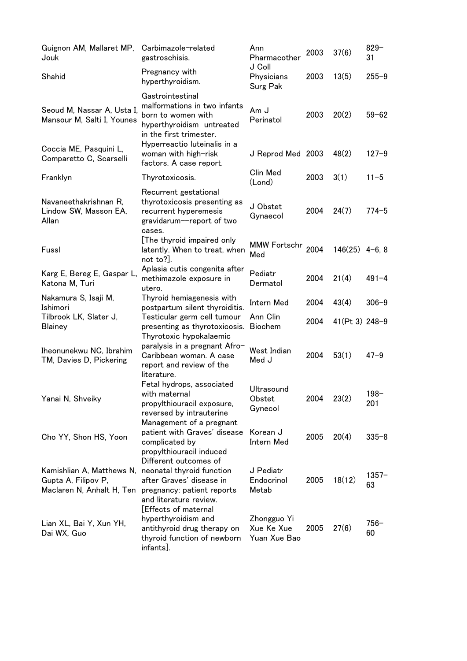| Guignon AM, Mallaret MP,<br>Jouk                                              | Carbimazole-related<br>gastroschisis.                                                                                                           | Ann<br>Pharmacother                       | 2003 | 37(6)            | $829 -$<br>31  |
|-------------------------------------------------------------------------------|-------------------------------------------------------------------------------------------------------------------------------------------------|-------------------------------------------|------|------------------|----------------|
| Shahid                                                                        | Pregnancy with<br>hyperthyroidism.                                                                                                              | J Coll<br>Physicians<br>Surg Pak          | 2003 | 13(5)            | $255 - 9$      |
| Seoud M, Nassar A, Usta I,<br>Mansour M, Salti I, Younes                      | Gastrointestinal<br>malformations in two infants<br>born to women with<br>hyperthyroidism untreated<br>in the first trimester.                  | Am J<br>Perinatol                         | 2003 | 20(2)            | $59 - 62$      |
| Coccia ME, Pasquini L,<br>Comparetto C, Scarselli                             | Hyperreactio luteinalis in a<br>woman with high-risk<br>factors. A case report.                                                                 | J Reprod Med 2003                         |      | 48(2)            | $127 - 9$      |
| Franklyn                                                                      | Thyrotoxicosis.                                                                                                                                 | Clin Med<br>(Lond)                        | 2003 | 3(1)             | $11 - 5$       |
| Navaneethakrishnan R,<br>Lindow SW, Masson EA,<br>Allan                       | Recurrent gestational<br>thyrotoxicosis presenting as<br>recurrent hyperemesis<br>gravidarum--report of two<br>cases.                           | J Obstet<br>Gynaecol                      | 2004 | 24(7)            | $774 - 5$      |
| Fussl                                                                         | [The thyroid impaired only<br>latently. When to treat, when<br>not to?].                                                                        | MMW Fortschr 2004<br>Med                  |      | $146(25)$ 4-6, 8 |                |
| Karg E, Bereg E, Gaspar L,<br>Katona M, Turi                                  | Aplasia cutis congenita after<br>methimazole exposure in<br>utero.                                                                              | Pediatr<br>Dermatol                       | 2004 | 21(4)            | $491 - 4$      |
| Nakamura S, Isaji M,<br>Ishimori                                              | Thyroid hemiagenesis with<br>postpartum silent thyroiditis.                                                                                     | Intern Med                                | 2004 | 43(4)            | $306 - 9$      |
| Tilbrook LK, Slater J,<br><b>Blainey</b>                                      | Testicular germ cell tumour<br>presenting as thyrotoxicosis.<br>Thyrotoxic hypokalaemic                                                         | Ann Clin<br><b>Biochem</b>                | 2004 | 41(Pt 3) 248-9   |                |
| Iheonunekwu NC, Ibrahim<br>TM, Davies D, Pickering                            | paralysis in a pregnant Afro-<br>Caribbean woman. A case<br>report and review of the                                                            | West Indian<br>Med J                      | 2004 | 53(1)            | $47 - 9$       |
| Yanai N, Shveiky                                                              | literature.<br>Fetal hydrops, associated<br>with maternal<br>propylthiouracil exposure,<br>reversed by intrauterine<br>Management of a pregnant | Ultrasound<br>Obstet<br>Gynecol           | 2004 | 23(2)            | $198 -$<br>201 |
| Cho YY, Shon HS, Yoon                                                         | patient with Graves' disease<br>complicated by<br>propylthiouracil induced                                                                      | Korean J<br>Intern Med                    | 2005 | 20(4)            | $335 - 8$      |
| Kamishlian A, Matthews N,<br>Gupta A, Filipov P,<br>Maclaren N, Anhalt H, Ten | Different outcomes of<br>neonatal thyroid function<br>after Graves' disease in<br>pregnancy: patient reports<br>and literature review.          | J Pediatr<br>Endocrinol<br>Metab          | 2005 | 18(12)           | $1357 -$<br>63 |
| Lian XL, Bai Y, Xun YH,<br>Dai WX, Guo                                        | <b>Effects of maternal</b><br>hyperthyroidism and<br>antithyroid drug therapy on<br>thyroid function of newborn<br>infants].                    | Zhongguo Yi<br>Xue Ke Xue<br>Yuan Xue Bao | 2005 | 27(6)            | $756-$<br>60   |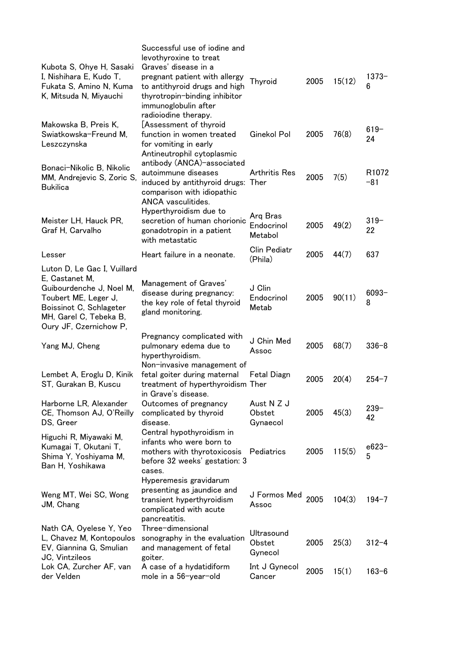| Kubota S, Ohye H, Sasaki<br>I, Nishihara E, Kudo T,<br>Fukata S, Amino N, Kuma<br>K, Mitsuda N, Miyauchi                                                                         | Successful use of iodine and<br>levothyroxine to treat<br>Graves' disease in a<br>pregnant patient with allergy<br>to antithyroid drugs and high<br>thyrotropin-binding inhibitor<br>immunoglobulin after | Thyroid                           | 2005 | 15(12) | $1373 -$<br>6              |
|----------------------------------------------------------------------------------------------------------------------------------------------------------------------------------|-----------------------------------------------------------------------------------------------------------------------------------------------------------------------------------------------------------|-----------------------------------|------|--------|----------------------------|
| Makowska B, Preis K,<br>Swiatkowska-Freund M,<br>Leszczynska                                                                                                                     | radioiodine therapy.<br>[Assessment of thyroid<br>function in women treated<br>for vomiting in early<br>Antineutrophil cytoplasmic                                                                        | Ginekol Pol                       | 2005 | 76(8)  | $619 -$<br>24              |
| Bonaci-Nikolic B, Nikolic<br>MM, Andrejevic S, Zoric S,<br><b>Bukilica</b>                                                                                                       | antibody (ANCA)-associated<br>autoimmune diseases<br>induced by antithyroid drugs:<br>comparison with idiopathic<br>ANCA vasculitides.                                                                    | Arthritis Res<br>Ther             | 2005 | 7(5)   | R <sub>1072</sub><br>$-81$ |
| Meister LH, Hauck PR,<br>Graf H, Carvalho                                                                                                                                        | Hyperthyroidism due to<br>secretion of human chorionic<br>gonadotropin in a patient<br>with metastatic                                                                                                    | Arg Bras<br>Endocrinol<br>Metabol | 2005 | 49(2)  | $319 -$<br>22              |
| Lesser                                                                                                                                                                           | Heart failure in a neonate.                                                                                                                                                                               | Clin Pediatr<br>(Phila)           | 2005 | 44(7)  | 637                        |
| Luton D, Le Gac I, Vuillard<br>E, Castanet M,<br>Guibourdenche J, Noel M,<br>Toubert ME, Leger J,<br>Boissinot C, Schlageter<br>MH, Garel C, Tebeka B,<br>Oury JF, Czernichow P, | Management of Graves'<br>disease during pregnancy:<br>the key role of fetal thyroid<br>gland monitoring.                                                                                                  | J Clin<br>Endocrinol<br>Metab     | 2005 | 90(11) | $6093 -$<br>8              |
| Yang MJ, Cheng                                                                                                                                                                   | Pregnancy complicated with<br>pulmonary edema due to<br>hyperthyroidism.                                                                                                                                  | J Chin Med<br>Assoc               | 2005 | 68(7)  | $336 - 8$                  |
| Lembet A, Eroglu D, Kinik<br>ST, Gurakan B, Kuscu                                                                                                                                | Non-invasive management of<br>fetal goiter during maternal<br>treatment of hyperthyroidism Ther<br>in Grave's disease.                                                                                    | <b>Fetal Diagn</b>                | 2005 | 20(4)  | $254 - 7$                  |
| Harborne LR, Alexander<br>CE, Thomson AJ, O'Reilly<br>DS, Greer                                                                                                                  | Outcomes of pregnancy<br>complicated by thyroid<br>disease.                                                                                                                                               | Aust N Z J<br>Obstet<br>Gynaecol  | 2005 | 45(3)  | $239 -$<br>42              |
| Higuchi R, Miyawaki M,<br>Kumagai T, Okutani T,<br>Shima Y, Yoshiyama M,<br>Ban H, Yoshikawa                                                                                     | Central hypothyroidism in<br>infants who were born to<br>mothers with thyrotoxicosis<br>before 32 weeks' gestation: 3<br>cases.                                                                           | Pediatrics                        | 2005 | 115(5) | $e623-$<br>5               |
| Weng MT, Wei SC, Wong<br>JM, Chang                                                                                                                                               | Hyperemesis gravidarum<br>presenting as jaundice and<br>transient hyperthyroidism<br>complicated with acute<br>pancreatitis.                                                                              | J Formos Med<br>Assoc             | 2005 | 104(3) | $194 - 7$                  |
| Nath CA, Oyelese Y, Yeo<br>L, Chavez M, Kontopoulos<br>EV, Giannina G, Smulian<br>JC, Vintzileos                                                                                 | Three-dimensional<br>sonography in the evaluation<br>and management of fetal<br>goiter.                                                                                                                   | Ultrasound<br>Obstet<br>Gynecol   | 2005 | 25(3)  | $312 - 4$                  |
| Lok CA, Zurcher AF, van<br>der Velden                                                                                                                                            | A case of a hydatidiform<br>mole in a 56-year-old                                                                                                                                                         | Int J Gynecol<br>Cancer           | 2005 | 15(1)  | $163 - 6$                  |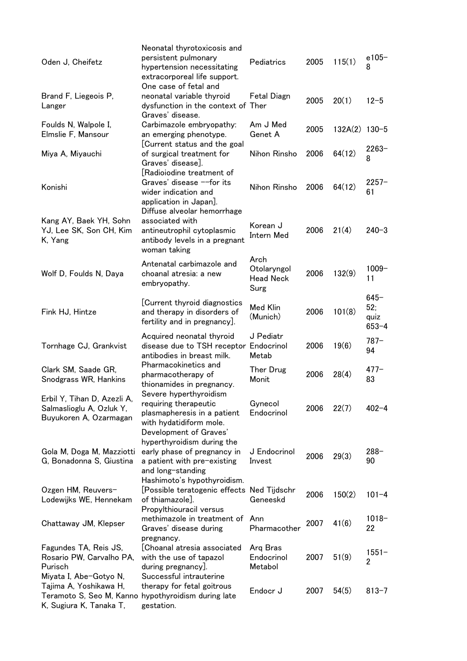| Oden J, Cheifetz                                                                       | Neonatal thyrotoxicosis and<br>persistent pulmonary<br>hypertension necessitating<br>extracorporeal life support.<br>One case of fetal and                        | Pediatrics                                      | 2005 | 115(1)          | $e105 -$<br>8                       |
|----------------------------------------------------------------------------------------|-------------------------------------------------------------------------------------------------------------------------------------------------------------------|-------------------------------------------------|------|-----------------|-------------------------------------|
| Brand F, Liegeois P,<br>Langer                                                         | neonatal variable thyroid<br>dysfunction in the context of Ther<br>Graves' disease.                                                                               | <b>Fetal Diagn</b>                              | 2005 | 20(1)           | $12 - 5$                            |
| Foulds N, Walpole I,<br>Elmslie F, Mansour                                             | Carbimazole embryopathy:<br>an emerging phenotype.                                                                                                                | Am J Med<br>Genet A                             | 2005 | $132A(2)$ 130-5 |                                     |
| Miya A, Miyauchi                                                                       | [Current status and the goal<br>of surgical treatment for<br>Graves' disease].                                                                                    | Nihon Rinsho                                    | 2006 | 64(12)          | $2263-$<br>8                        |
| Konishi                                                                                | [Radioiodine treatment of<br>Graves' disease -for its<br>wider indication and<br>application in Japan].                                                           | Nihon Rinsho                                    | 2006 | 64(12)          | $2257-$<br>61                       |
| Kang AY, Baek YH, Sohn<br>YJ, Lee SK, Son CH, Kim<br>K, Yang                           | Diffuse alveolar hemorrhage<br>associated with<br>antineutrophil cytoplasmic<br>antibody levels in a pregnant<br>woman taking                                     | Korean J<br>Intern Med                          | 2006 | 21(4)           | $240 - 3$                           |
| Wolf D, Foulds N, Daya                                                                 | Antenatal carbimazole and<br>choanal atresia: a new<br>embryopathy.                                                                                               | Arch<br>Otolaryngol<br><b>Head Neck</b><br>Surg | 2006 | 132(9)          | $1009 -$<br>11                      |
| Fink HJ, Hintze                                                                        | [Current thyroid diagnostics<br>and therapy in disorders of<br>fertility and in pregnancy].                                                                       | Med Klin<br>(Munich)                            | 2006 | 101(8)          | $645 -$<br>52;<br>quiz<br>$653 - 4$ |
| Tornhage CJ, Grankvist                                                                 | Acquired neonatal thyroid<br>disease due to TSH receptor Endocrinol<br>antibodies in breast milk.                                                                 | J Pediatr<br>Metab                              | 2006 | 19(6)           | $787 -$<br>94                       |
| Clark SM, Saade GR,<br>Snodgrass WR, Hankins                                           | Pharmacokinetics and<br>pharmacotherapy of<br>thionamides in pregnancy.                                                                                           | <b>Ther Drug</b><br>Monit                       | 2006 | 28(4)           | $477 -$<br>83                       |
| Erbil Y, Tihan D, Azezli A,<br>Salmaslioglu A, Ozluk Y,<br>Buyukoren A, Ozarmagan      | Severe hyperthyroidism<br>requiring therapeutic<br>plasmapheresis in a patient<br>with hydatidiform mole.<br>Development of Graves'<br>hyperthyroidism during the | Gynecol<br>Endocrinol                           | 2006 | 22(7)           | $402 - 4$                           |
| Gola M, Doga M, Mazziotti<br>G, Bonadonna S, Giustina                                  | early phase of pregnancy in<br>a patient with pre-existing<br>and long-standing                                                                                   | J Endocrinol<br>Invest                          | 2006 | 29(3)           | $288 -$<br>90                       |
| Ozgen HM, Reuvers-<br>Lodewijks WE, Hennekam                                           | Hashimoto's hypothyroidism.<br>[Possible teratogenic effects Ned Tijdschr<br>of thiamazole].<br>Propylthiouracil versus                                           | Geneeskd                                        | 2006 | 150(2)          | $101 - 4$                           |
| Chattaway JM, Klepser                                                                  | methimazole in treatment of<br>Graves' disease during<br>pregnancy.                                                                                               | Ann<br>Pharmacother                             | 2007 | 41(6)           | $1018 -$<br>22                      |
| Fagundes TA, Reis JS,<br>Rosario PW, Carvalho PA,<br>Purisch<br>Miyata I, Abe-Gotyo N, | [Choanal atresia associated<br>with the use of tapazol<br>during pregnancy].<br>Successful intrauterine                                                           | Arq Bras<br>Endocrinol<br>Metabol               | 2007 | 51(9)           | $1551 -$<br>$\overline{2}$          |
| Tajima A, Yoshikawa H,<br>Teramoto S, Seo M, Kanno<br>K, Sugiura K, Tanaka T,          | therapy for fetal goitrous<br>hypothyroidism during late<br>gestation.                                                                                            | Endocr J                                        | 2007 | 54(5)           | $813 - 7$                           |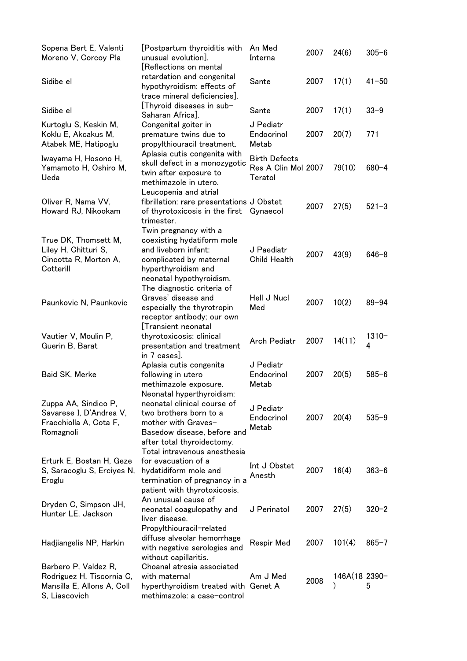| Sopena Bert E, Valenti<br>Moreno V, Corcoy Pla                                                   | [Postpartum thyroiditis with<br>unusual evolution].<br>[Reflections on mental                                                                             | An Med<br>Interna                                      | 2007 | 24(6)         | $305 - 6$     |
|--------------------------------------------------------------------------------------------------|-----------------------------------------------------------------------------------------------------------------------------------------------------------|--------------------------------------------------------|------|---------------|---------------|
| Sidibe el                                                                                        | retardation and congenital<br>hypothyroidism: effects of                                                                                                  | Sante                                                  | 2007 | 17(1)         | $41 - 50$     |
| Sidibe el                                                                                        | trace mineral deficiencies].<br>[Thyroid diseases in sub-<br>Saharan Africa].                                                                             | Sante                                                  | 2007 | 17(1)         | $33 - 9$      |
| Kurtoglu S, Keskin M,<br>Koklu E, Akcakus M,<br>Atabek ME, Hatipoglu                             | Congenital goiter in<br>premature twins due to<br>propylthiouracil treatment.                                                                             | J Pediatr<br>Endocrinol<br>Metab                       | 2007 | 20(7)         | 771           |
| Iwayama H, Hosono H,<br>Yamamoto H, Oshiro M,<br>Ueda                                            | Aplasia cutis congenita with<br>skull defect in a monozygotic<br>twin after exposure to<br>methimazole in utero.<br>Leucopenia and atrial                 | <b>Birth Defects</b><br>Res A Clin Mol 2007<br>Teratol |      | 79(10)        | $680 - 4$     |
| Oliver R, Nama VV,<br>Howard RJ, Nikookam                                                        | fibrillation: rare presentations J Obstet<br>of thyrotoxicosis in the first Gynaecol<br>trimester.                                                        |                                                        | 2007 | 27(5)         | $521 - 3$     |
| True DK, Thomsett M,<br>Liley H, Chitturi S,<br>Cincotta R, Morton A,<br>Cotterill               | Twin pregnancy with a<br>coexisting hydatiform mole<br>and liveborn infant:<br>complicated by maternal<br>hyperthyroidism and<br>neonatal hypothyroidism. | J Paediatr<br>Child Health                             | 2007 | 43(9)         | $646 - 8$     |
| Paunkovic N, Paunkovic                                                                           | The diagnostic criteria of<br>Graves' disease and<br>especially the thyrotropin<br>receptor antibody; our own                                             | Hell J Nucl<br>Med                                     | 2007 | 10(2)         | $89 - 94$     |
| Vautier V, Moulin P,<br>Guerin B, Barat                                                          | [Transient neonatal<br>thyrotoxicosis: clinical<br>presentation and treatment<br>in 7 cases].                                                             | Arch Pediatr                                           | 2007 | 14(11)        | $1310 -$<br>4 |
| Baid SK, Merke                                                                                   | Aplasia cutis congenita<br>following in utero<br>methimazole exposure.<br>Neonatal hyperthyroidism:                                                       | J Pediatr<br>Endocrinol<br>Metab                       | 2007 | 20(5)         | $585 - 6$     |
| Zuppa AA, Sindico P,<br>Savarese I, D'Andrea V,<br>Fracchiolla A, Cota F,<br>Romagnoli           | neonatal clinical course of<br>two brothers born to a<br>mother with Graves-<br>Basedow disease, before and<br>after total thyroidectomy.                 | J Pediatr<br>Endocrinol<br>Metab                       | 2007 | 20(4)         | $535 - 9$     |
| Erturk E, Bostan H, Geze<br>S, Saracoglu S, Erciyes N,<br>Eroglu                                 | Total intravenous anesthesia<br>for evacuation of a<br>hydatidiform mole and<br>termination of pregnancy in a<br>patient with thyrotoxicosis.             | Int J Obstet<br>Anesth                                 | 2007 | 16(4)         | $363 - 6$     |
| Dryden C, Simpson JH,<br>Hunter LE, Jackson                                                      | An unusual cause of<br>neonatal coagulopathy and<br>liver disease.                                                                                        | J Perinatol                                            | 2007 | 27(5)         | $320 - 2$     |
| Hadjiangelis NP, Harkin                                                                          | Propylthiouracil-related<br>diffuse alveolar hemorrhage<br>with negative serologies and<br>without capillaritis.                                          | Respir Med                                             | 2007 | 101(4)        | $865 - 7$     |
| Barbero P, Valdez R,<br>Rodriguez H, Tiscornia C,<br>Mansilla E, Allons A, Coll<br>S, Liascovich | Choanal atresia associated<br>with maternal<br>hyperthyroidism treated with Genet A<br>methimazole: a case-control                                        | Am J Med                                               | 2008 | 146A(18 2390- | 5             |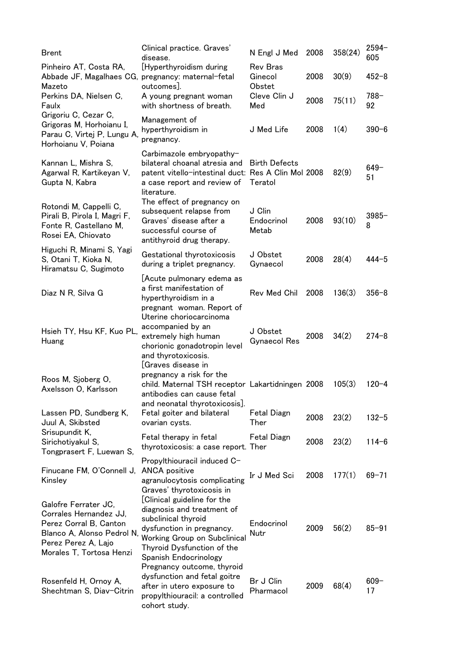| <b>Brent</b>                                                                                                                                              | Clinical practice. Graves'<br>disease.                                                                                                                                                                                                    | N Engl J Med                         | 2008 | 358(24) | $2594 -$<br>605 |
|-----------------------------------------------------------------------------------------------------------------------------------------------------------|-------------------------------------------------------------------------------------------------------------------------------------------------------------------------------------------------------------------------------------------|--------------------------------------|------|---------|-----------------|
| Pinheiro AT, Costa RA,<br>Abbade JF, Magalhaes CG, pregnancy: maternal-fetal<br>Mazeto                                                                    | [Hyperthyroidism during<br>outcomes].                                                                                                                                                                                                     | <b>Rev Bras</b><br>Ginecol<br>Obstet | 2008 | 30(9)   | $452 - 8$       |
| Perkins DA, Nielsen C,<br>Faulx                                                                                                                           | A young pregnant woman<br>with shortness of breath.                                                                                                                                                                                       | Cleve Clin J<br>Med                  | 2008 | 75(11)  | $788-$<br>92    |
| Grigoriu C, Cezar C,<br>Grigoras M, Horhoianu I,<br>Parau C, Virtej P, Lungu A,<br>Horhoianu V, Poiana                                                    | Management of<br>hyperthyroidism in<br>pregnancy.                                                                                                                                                                                         | J Med Life                           | 2008 | 1(4)    | $390 - 6$       |
| Kannan L, Mishra S,<br>Agarwal R, Kartikeyan V,<br>Gupta N, Kabra                                                                                         | Carbimazole embryopathy-<br>bilateral choanal atresia and<br>patent vitello-intestinal duct: Res A Clin Mol 2008<br>a case report and review of<br>literature.                                                                            | <b>Birth Defects</b><br>Teratol      |      | 82(9)   | $649 -$<br>51   |
| Rotondi M, Cappelli C,<br>Pirali B, Pirola I, Magri F,<br>Fonte R, Castellano M,<br>Rosei EA, Chiovato                                                    | The effect of pregnancy on<br>subsequent relapse from<br>Graves' disease after a<br>successful course of<br>antithyroid drug therapy.                                                                                                     | J Clin<br>Endocrinol<br>Metab        | 2008 | 93(10)  | $3985 -$<br>8   |
| Higuchi R, Minami S, Yagi<br>S, Otani T, Kioka N,<br>Hiramatsu C, Sugimoto                                                                                | Gestational thyrotoxicosis<br>during a triplet pregnancy.                                                                                                                                                                                 | J Obstet<br>Gynaecol                 | 2008 | 28(4)   | $444 - 5$       |
| Diaz N R, Silva G                                                                                                                                         | [Acute pulmonary edema as<br>a first manifestation of<br>hyperthyroidism in a<br>pregnant woman. Report of<br>Uterine choriocarcinoma                                                                                                     | Rev Med Chil                         | 2008 | 136(3)  | $356 - 8$       |
| Hsieh TY, Hsu KF, Kuo PL,<br>Huang                                                                                                                        | accompanied by an<br>extremely high human<br>chorionic gonadotropin level<br>and thyrotoxicosis.<br>[Graves disease in                                                                                                                    | J Obstet<br><b>Gynaecol Res</b>      | 2008 | 34(2)   | $274 - 8$       |
| Roos M, Sjoberg O,<br>Axelsson O, Karlsson                                                                                                                | pregnancy a risk for the<br>child. Maternal TSH receptor Lakartidningen 2008<br>antibodies can cause fetal                                                                                                                                |                                      |      | 105(3)  | $120 - 4$       |
| Lassen PD, Sundberg K,<br>Juul A, Skibsted                                                                                                                | and neonatal thyrotoxicosis].<br>Fetal goiter and bilateral<br>ovarian cysts.                                                                                                                                                             | Fetal Diagn<br>Ther                  | 2008 | 23(2)   | $132 - 5$       |
| Srisupundit K,<br>Sirichotiyakul S,<br>Tongprasert F, Luewan S,                                                                                           | Fetal therapy in fetal<br>thyrotoxicosis: a case report. Ther                                                                                                                                                                             | Fetal Diagn                          | 2008 | 23(2)   | $114 - 6$       |
| Finucane FM, O'Connell J,<br>Kinsley                                                                                                                      | Propylthiouracil induced C-<br><b>ANCA</b> positive<br>agranulocytosis complicating<br>Graves' thyrotoxicosis in                                                                                                                          | Ir J Med Sci                         | 2008 | 177(1)  | $69 - 71$       |
| Galofre Ferrater JC,<br>Corrales Hernandez JJ,<br>Perez Corral B, Canton<br>Blanco A, Alonso Pedrol N,<br>Perez Perez A, Lajo<br>Morales T, Tortosa Henzi | [Clinical guideline for the<br>diagnosis and treatment of<br>subclinical thyroid<br>dysfunction in pregnancy.<br><b>Working Group on Subclinical</b><br>Thyroid Dysfunction of the<br>Spanish Endocrinology<br>Pregnancy outcome, thyroid | Endocrinol<br>Nutr                   | 2009 | 56(2)   | $85 - 91$       |
| Rosenfeld H, Ornoy A,<br>Shechtman S, Diav-Citrin                                                                                                         | dysfunction and fetal goitre<br>after in utero exposure to<br>propylthiouracil: a controlled<br>cohort study.                                                                                                                             | Br J Clin<br>Pharmacol               | 2009 | 68(4)   | $609 -$<br>17   |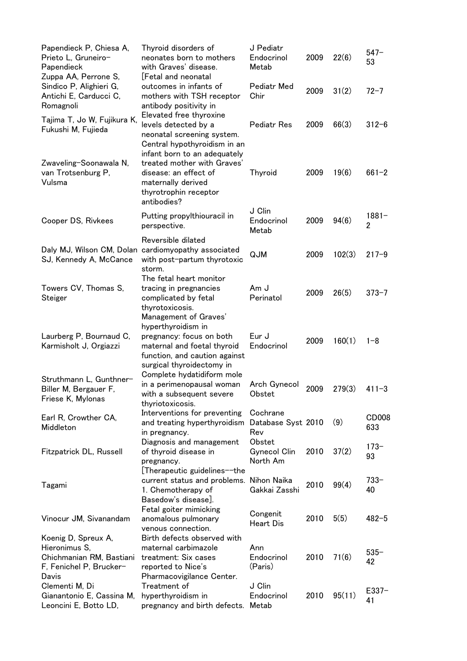| Papendieck P, Chiesa A,<br>Prieto L, Gruneiro-<br>Papendieck<br>Zuppa AA, Perrone S,                 | Thyroid disorders of<br>neonates born to mothers<br>with Graves' disease.<br>[Fetal and neonatal                                                                                   | J Pediatr<br>Endocrinol<br>Metab                | 2009 | 22(6)  | $547 -$<br>53              |
|------------------------------------------------------------------------------------------------------|------------------------------------------------------------------------------------------------------------------------------------------------------------------------------------|-------------------------------------------------|------|--------|----------------------------|
| Sindico P, Alighieri G,<br>Antichi E, Carducci C,<br>Romagnoli                                       | outcomes in infants of<br>mothers with TSH receptor<br>antibody positivity in                                                                                                      | Pediatr Med<br>Chir                             | 2009 | 31(2)  | $72 - 7$                   |
| Tajima T, Jo W, Fujikura K,<br>Fukushi M, Fujieda                                                    | Elevated free thyroxine<br>levels detected by a<br>neonatal screening system.                                                                                                      | Pediatr Res                                     | 2009 | 66(3)  | $312 - 6$                  |
| Zwaveling-Soonawala N,<br>van Trotsenburg P,<br>Vulsma                                               | Central hypothyroidism in an<br>infant born to an adequately<br>treated mother with Graves'<br>disease: an effect of<br>maternally derived<br>thyrotrophin receptor<br>antibodies? | Thyroid                                         | 2009 | 19(6)  | $661 - 2$                  |
| Cooper DS, Rivkees                                                                                   | Putting propylthiouracil in<br>perspective.                                                                                                                                        | J Clin<br>Endocrinol<br>Metab                   | 2009 | 94(6)  | $1881 -$<br>$\overline{2}$ |
| SJ, Kennedy A, McCance                                                                               | Reversible dilated<br>Daly MJ, Wilson CM, Dolan cardiomyopathy associated<br>with post-partum thyrotoxic<br>storm.                                                                 | QJM                                             | 2009 | 102(3) | $217 - 9$                  |
| Towers CV, Thomas S,<br>Steiger                                                                      | The fetal heart monitor<br>tracing in pregnancies<br>complicated by fetal<br>thyrotoxicosis.<br>Management of Graves'<br>hyperthyroidism in                                        | Am J<br>Perinatol                               | 2009 | 26(5)  | $373 - 7$                  |
| Laurberg P, Bournaud C,<br>Karmisholt J, Orgiazzi                                                    | pregnancy: focus on both<br>maternal and foetal thyroid<br>function, and caution against<br>surgical thyroidectomy in                                                              | Eur J<br>Endocrinol                             | 2009 | 160(1) | $1 - 8$                    |
| Struthmann L, Gunthner-<br>Biller M, Bergauer F,<br>Friese K, Mylonas                                | Complete hydatidiform mole<br>in a perimenopausal woman<br>with a subsequent severe<br>thyriotoxicosis.                                                                            | Arch Gynecol<br>Obstet                          | 2009 | 279(3) | $411 - 3$                  |
| Earl R, Crowther CA,<br>Middleton                                                                    | Interventions for preventing<br>and treating hyperthyroidism<br>in pregnancy.<br>Diagnosis and management                                                                          | Cochrane<br>Database Syst 2010<br>Rev<br>Obstet |      | (9)    | <b>CD008</b><br>633        |
| Fitzpatrick DL, Russell                                                                              | of thyroid disease in<br>pregnancy.<br>[Therapeutic guidelines--the                                                                                                                | <b>Gynecol Clin</b><br>North Am                 | 2010 | 37(2)  | $173 -$<br>93              |
| Tagami                                                                                               | current status and problems. Nihon Naika<br>1. Chemotherapy of<br>Basedow's disease].                                                                                              | Gakkai Zasshi                                   | 2010 | 99(4)  | $733 -$<br>40              |
| Vinocur JM, Sivanandam                                                                               | Fetal goiter mimicking<br>anomalous pulmonary<br>venous connection.                                                                                                                | Congenit<br><b>Heart Dis</b>                    | 2010 | 5(5)   | $482 - 5$                  |
| Koenig D, Spreux A,<br>Hieronimus S,<br>Chichmanian RM, Bastiani<br>F, Fenichel P, Brucker-<br>Davis | Birth defects observed with<br>maternal carbimazole<br>treatment: Six cases<br>reported to Nice's<br>Pharmacovigilance Center.                                                     | Ann<br>Endocrinol<br>(Paris)                    | 2010 | 71(6)  | $535 -$<br>42              |
| Clementi M, Di<br>Gianantonio E, Cassina M,<br>Leoncini E, Botto LD,                                 | Treatment of<br>hyperthyroidism in<br>pregnancy and birth defects. Metab                                                                                                           | J Clin<br>Endocrinol                            | 2010 | 95(11) | $E337-$<br>41              |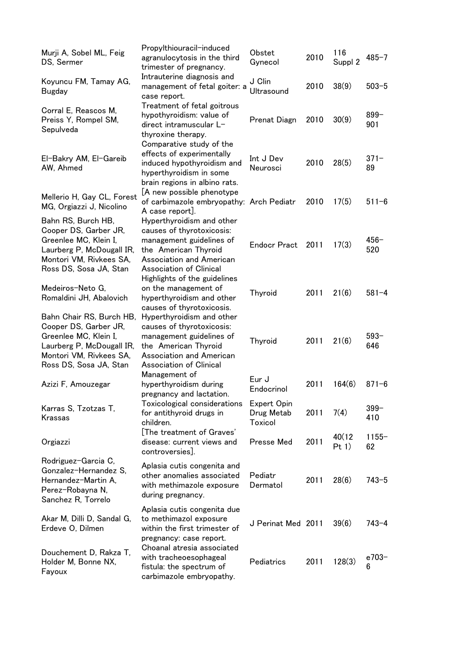| Murji A, Sobel ML, Feig<br>DS, Sermer                                                                                                                        | Propylthiouracil-induced<br>agranulocytosis in the third<br>trimester of pregnancy.                                                                                      | Obstet<br>Gynecol                           | 2010 | 116<br>Suppl 2  | $485 - 7$      |
|--------------------------------------------------------------------------------------------------------------------------------------------------------------|--------------------------------------------------------------------------------------------------------------------------------------------------------------------------|---------------------------------------------|------|-----------------|----------------|
| Koyuncu FM, Tamay AG,<br><b>Bugday</b>                                                                                                                       | Intrauterine diagnosis and<br>management of fetal goiter: a<br>case report.                                                                                              | J Clin<br>Ultrasound                        | 2010 | 38(9)           | $503 - 5$      |
| Corral E, Reascos M,<br>Preiss Y, Rompel SM,<br>Sepulveda                                                                                                    | Treatment of fetal goitrous<br>hypothyroidism: value of<br>direct intramuscular L-<br>thyroxine therapy.                                                                 | Prenat Diagn                                | 2010 | 30(9)           | $899 -$<br>901 |
| El-Bakry AM, El-Gareib<br>AW, Ahmed                                                                                                                          | Comparative study of the<br>effects of experimentally<br>induced hypothyroidism and<br>hyperthyroidism in some<br>brain regions in albino rats.                          | Int J Dev<br>Neurosci                       | 2010 | 28(5)           | $371 -$<br>89  |
| Mellerio H, Gay CL, Forest<br>MG, Orgiazzi J, Nicolino                                                                                                       | [A new possible phenotype<br>of carbimazole embryopathy: Arch Pediatr<br>A case report].                                                                                 |                                             | 2010 | 17(5)           | $511 - 6$      |
| Bahn RS, Burch HB,<br>Cooper DS, Garber JR,<br>Greenlee MC, Klein I,<br>Laurberg P, McDougall IR,<br>Montori VM, Rivkees SA,<br>Ross DS, Sosa JA, Stan       | Hyperthyroidism and other<br>causes of thyrotoxicosis:<br>management guidelines of<br>the American Thyroid<br>Association and American<br><b>Association of Clinical</b> | <b>Endocr Pract</b>                         | 2011 | 17(3)           | $456 -$<br>520 |
| Medeiros-Neto G,<br>Romaldini JH, Abalovich                                                                                                                  | Highlights of the guidelines<br>on the management of<br>hyperthyroidism and other<br>causes of thyrotoxicosis.                                                           | Thyroid                                     | 2011 | 21(6)           | $581 - 4$      |
| Bahn Chair RS, Burch HB,<br>Cooper DS, Garber JR,<br>Greenlee MC, Klein I,<br>Laurberg P, McDougall IR,<br>Montori VM, Rivkees SA,<br>Ross DS, Sosa JA, Stan | Hyperthyroidism and other<br>causes of thyrotoxicosis:<br>management guidelines of<br>the American Thyroid<br><b>Association and American</b><br>Association of Clinical | Thyroid                                     | 2011 | 21(6)           | $593 -$<br>646 |
| Azizi F, Amouzegar                                                                                                                                           | Management of<br>hyperthyroidism during<br>pregnancy and lactation.                                                                                                      | Eur J<br>Endocrinol                         | 2011 | 164(6)          | $871 - 6$      |
| Karras S, Tzotzas T,<br>Krassas                                                                                                                              | Toxicological considerations<br>for antithyroid drugs in<br>children.                                                                                                    | Expert Opin<br>Drug Metab<br><b>Toxicol</b> | 2011 | 7(4)            | $399 -$<br>410 |
| Orgiazzi                                                                                                                                                     | [The treatment of Graves'<br>disease: current views and<br>controversies].                                                                                               | Presse Med                                  | 2011 | 40(12)<br>Pt 1) | $1155 -$<br>62 |
| Rodriguez-Garcia C,<br>Gonzalez-Hernandez S,<br>Hernandez-Martin A.<br>Perez-Robayna N,<br>Sanchez R, Torrelo                                                | Aplasia cutis congenita and<br>other anomalies associated<br>with methimazole exposure<br>during pregnancy.                                                              | Pediatr<br>Dermatol                         | 2011 | 28(6)           | $743 - 5$      |
| Akar M, Dilli D, Sandal G,<br>Erdeve O, Dilmen                                                                                                               | Aplasia cutis congenita due<br>to methimazol exposure<br>within the first trimester of<br>pregnancy: case report.                                                        | J Perinat Med 2011                          |      | 39(6)           | $743 - 4$      |
| Douchement D, Rakza T,<br>Holder M, Bonne NX,<br>Fayoux                                                                                                      | Choanal atresia associated<br>with tracheoesophageal<br>fistula: the spectrum of<br>carbimazole embryopathy.                                                             | Pediatrics                                  | 2011 | 128(3)          | e703-<br>6     |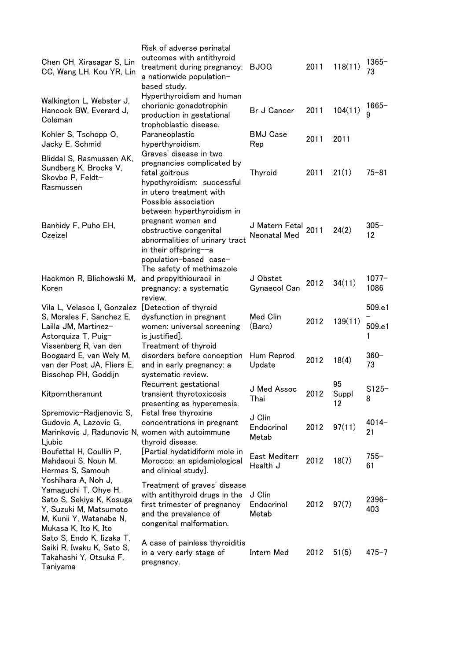| Chen CH, Xirasagar S, Lin<br>CC, Wang LH, Kou YR, Lin                                                                                                | Risk of adverse perinatal<br>outcomes with antithyroid<br>treatment during pregnancy:<br>a nationwide population-<br>based study.                               | <b>BJOG</b>                         | 2011 | 118(11)           | $1365 -$<br>73        |
|------------------------------------------------------------------------------------------------------------------------------------------------------|-----------------------------------------------------------------------------------------------------------------------------------------------------------------|-------------------------------------|------|-------------------|-----------------------|
| Walkington L, Webster J,<br>Hancock BW, Everard J,<br>Coleman                                                                                        | Hyperthyroidism and human<br>chorionic gonadotrophin<br>production in gestational<br>trophoblastic disease.                                                     | Br J Cancer                         | 2011 | 104(11)           | $1665 -$<br>9         |
| Kohler S, Tschopp O,<br>Jacky E, Schmid                                                                                                              | Paraneoplastic<br>hyperthyroidism.                                                                                                                              | <b>BMJ Case</b><br>Rep              | 2011 | 2011              |                       |
| Bliddal S, Rasmussen AK,<br>Sundberg K, Brocks V,<br>Skovbo P, Feldt-<br>Rasmussen                                                                   | Graves' disease in two<br>pregnancies complicated by<br>fetal goitrous<br>hypothyroidism: successful<br>in utero treatment with<br>Possible association         | <b>Thyroid</b>                      | 2011 | 21(1)             | $75 - 81$             |
| Banhidy F, Puho EH,<br>Czeizel                                                                                                                       | between hyperthyroidism in<br>pregnant women and<br>obstructive congenital<br>abnormalities of urinary tract<br>in their offspring--a<br>population-based case- | J Matern Fetal 2011<br>Neonatal Med |      | 24(2)             | $305 -$<br>12         |
| Hackmon R, Blichowski M,<br>Koren                                                                                                                    | The safety of methimazole<br>and propylthiouracil in<br>pregnancy: a systematic<br>review.                                                                      | J Obstet<br>Gynaecol Can            | 2012 | 34(11)            | $1077 -$<br>1086      |
| Vila L, Velasco I, Gonzalez<br>S, Morales F, Sanchez E,<br>Lailla JM, Martinez-<br>Astorquiza T, Puig-                                               | [Detection of thyroid<br>dysfunction in pregnant<br>women: universal screening<br>is justified].                                                                | Med Clin<br>(Barc)                  | 2012 | 139(11)           | 509.e1<br>509.e1<br>1 |
| Vissenberg R, van den<br>Boogaard E, van Wely M,<br>van der Post JA, Fliers E,<br>Bisschop PH, Goddijn                                               | Treatment of thyroid<br>disorders before conception<br>and in early pregnancy: a<br>systematic review.                                                          | Hum Reprod<br>Update                | 2012 | 18(4)             | $360 -$<br>73         |
| Kitporntheranunt                                                                                                                                     | Recurrent gestational<br>transient thyrotoxicosis<br>presenting as hyperemesis.                                                                                 | J Med Assoc<br>Thai                 | 2012 | 95<br>Suppl<br>12 | $S125-$<br>8          |
| Spremovic-Radjenovic S,<br>Gudovic A, Lazovic G,<br>Marinkovic J, Radunovic N, women with autoimmune<br>Ljubic                                       | Fetal free thyroxine<br>concentrations in pregnant<br>thyroid disease.                                                                                          | J Clin<br>Endocrinol<br>Metab       | 2012 | 97(11)            | $4014 -$<br>21        |
| Boufettal H, Coullin P,<br>Mahdaoui S, Noun M,<br>Hermas S, Samouh                                                                                   | [Partial hydatidiform mole in<br>Morocco: an epidemiological<br>and clinical study].                                                                            | East Mediterr<br>Health J           | 2012 | 18(7)             | $755 -$<br>61         |
| Yoshihara A, Noh J,<br>Yamaguchi T, Ohye H,<br>Sato S, Sekiya K, Kosuga<br>Y, Suzuki M, Matsumoto<br>M, Kunii Y, Watanabe N,<br>Mukasa K, Ito K, Ito | Treatment of graves' disease<br>with antithyroid drugs in the<br>first trimester of pregnancy<br>and the prevalence of<br>congenital malformation.              | J Clin<br>Endocrinol<br>Metab       | 2012 | 97(7)             | $2396 -$<br>403       |
| Sato S, Endo K, Iizaka T,<br>Saiki R, Iwaku K, Sato S,<br>Takahashi Y, Otsuka F,<br>Taniyama                                                         | A case of painless thyroiditis<br>in a very early stage of<br>pregnancy.                                                                                        | Intern Med                          | 2012 | 51(5)             | $475 - 7$             |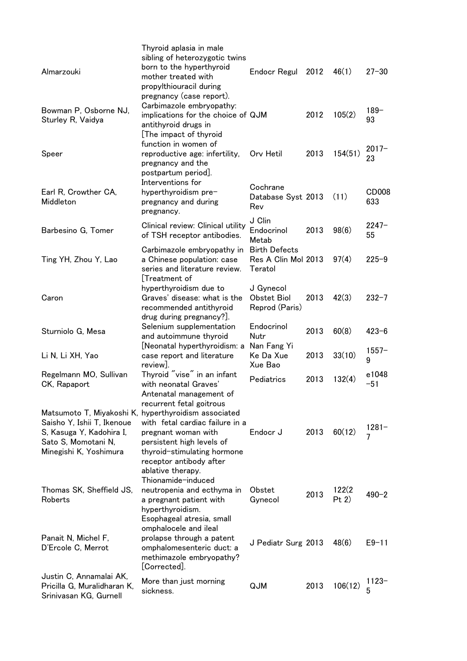| Almarzouki                                                                                              | Thyroid aplasia in male<br>sibling of heterozygotic twins<br>born to the hyperthyroid<br>mother treated with<br>propylthiouracil during                                                                                                                | Endocr Regul                                           | 2012 | 46(1)           | $27 - 30$           |
|---------------------------------------------------------------------------------------------------------|--------------------------------------------------------------------------------------------------------------------------------------------------------------------------------------------------------------------------------------------------------|--------------------------------------------------------|------|-----------------|---------------------|
| Bowman P, Osborne NJ,<br>Sturley R, Vaidya                                                              | pregnancy (case report).<br>Carbimazole embryopathy:<br>implications for the choice of QJM<br>antithyroid drugs in<br>[The impact of thyroid                                                                                                           |                                                        | 2012 | 105(2)          | $189 -$<br>93       |
| Speer                                                                                                   | function in women of<br>reproductive age: infertility,<br>pregnancy and the<br>postpartum period].                                                                                                                                                     | Orv Hetil                                              | 2013 | 154(51)         | $2017 -$<br>23      |
| Earl R, Crowther CA,<br>Middleton                                                                       | Interventions for<br>hyperthyroidism pre-<br>pregnancy and during<br>pregnancy.                                                                                                                                                                        | Cochrane<br>Database Syst 2013<br>Rev                  |      | (11)            | <b>CD008</b><br>633 |
| Barbesino G, Tomer                                                                                      | Clinical review: Clinical utility<br>of TSH receptor antibodies.                                                                                                                                                                                       | J Clin<br>Endocrinol<br>Metab                          | 2013 | 98(6)           | $2247-$<br>55       |
| Ting YH, Zhou Y, Lao                                                                                    | Carbimazole embryopathy in<br>a Chinese population: case<br>series and literature review.<br>[Treatment of                                                                                                                                             | <b>Birth Defects</b><br>Res A Clin Mol 2013<br>Teratol |      | 97(4)           | $225 - 9$           |
| Caron                                                                                                   | hyperthyroidism due to<br>Graves' disease: what is the<br>recommended antithyroid<br>drug during pregnancy?].                                                                                                                                          | J Gynecol<br><b>Obstet Biol</b><br>Reprod (Paris)      | 2013 | 42(3)           | $232 - 7$           |
| Sturniolo G, Mesa                                                                                       | Selenium supplementation<br>and autoimmune thyroid                                                                                                                                                                                                     | Endocrinol<br>Nutr                                     | 2013 | 60(8)           | $423 - 6$           |
| Li N, Li XH, Yao                                                                                        | [Neonatal hyperthyroidism: a<br>case report and literature<br>review].                                                                                                                                                                                 | Nan Fang Yi<br>Ke Da Xue<br>Xue Bao                    | 2013 | 33(10)          | $1557 -$<br>9       |
| Regelmann MO, Sullivan<br>CK, Rapaport                                                                  | Thyroid "vise" in an infant<br>with neonatal Graves'<br>Antenatal management of                                                                                                                                                                        | Pediatrics                                             | 2013 | 132(4)          | e1048<br>$-51$      |
| Saisho Y, Ishii T, Ikenoue<br>S, Kasuga Y, Kadohira I,<br>Sato S, Momotani N,<br>Minegishi K, Yoshimura | recurrent fetal goitrous<br>Matsumoto T, Miyakoshi K, hyperthyroidism associated<br>with fetal cardiac failure in a<br>pregnant woman with<br>persistent high levels of<br>thyroid-stimulating hormone<br>receptor antibody after<br>ablative therapy. | Endocr J                                               | 2013 | 60(12)          | $1281 -$<br>7       |
| Thomas SK, Sheffield JS,<br>Roberts                                                                     | Thionamide-induced<br>neutropenia and ecthyma in<br>a pregnant patient with<br>hyperthyroidism.<br>Esophageal atresia, small                                                                                                                           | Obstet<br>Gynecol                                      | 2013 | 122(2)<br>Pt 2) | $490 - 2$           |
| Panait N, Michel F,<br>D'Ercole C, Merrot                                                               | omphalocele and ileal<br>prolapse through a patent<br>omphalomesenteric duct: a<br>methimazole embryopathy?<br>[Corrected].                                                                                                                            | J Pediatr Surg 2013                                    |      | 48(6)           | $E9 - 11$           |
| Justin C, Annamalai AK,<br>Pricilla G, Muralidharan K,<br>Srinivasan KG, Gurnell                        | More than just morning<br>sickness.                                                                                                                                                                                                                    | QJM                                                    | 2013 | 106(12)         | 1123-<br>5          |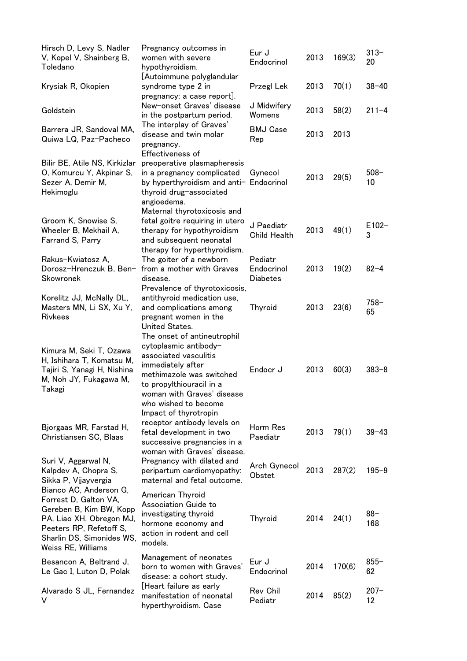| Hirsch D, Levy S, Nadler<br>V, Kopel V, Shainberg B,<br>Toledano                                                                                                                     | Pregnancy outcomes in<br>women with severe<br>hypothyroidism.                                                                                                                                                                             | Eur J<br>Endocrinol                      | 2013 | 169(3) | $313 -$<br>20 |
|--------------------------------------------------------------------------------------------------------------------------------------------------------------------------------------|-------------------------------------------------------------------------------------------------------------------------------------------------------------------------------------------------------------------------------------------|------------------------------------------|------|--------|---------------|
| Krysiak R, Okopien                                                                                                                                                                   | [Autoimmune polyglandular<br>syndrome type 2 in<br>pregnancy: a case report].                                                                                                                                                             | Przegl Lek                               | 2013 | 70(1)  | $38 - 40$     |
| Goldstein                                                                                                                                                                            | New-onset Graves' disease<br>in the postpartum period.                                                                                                                                                                                    | J Midwifery<br>Womens                    | 2013 | 58(2)  | $211 - 4$     |
| Barrera JR, Sandoval MA,<br>Quiwa LQ, Paz-Pacheco                                                                                                                                    | The interplay of Graves'<br>disease and twin molar<br>pregnancy.                                                                                                                                                                          | <b>BMJ Case</b><br>Rep                   | 2013 | 2013   |               |
| Bilir BE, Atile NS, Kirkizlar<br>O, Komurcu Y, Akpinar S,<br>Sezer A, Demir M,<br>Hekimoglu                                                                                          | Effectiveness of<br>preoperative plasmapheresis<br>in a pregnancy complicated<br>by hyperthyroidism and anti- Endocrinol<br>thyroid drug-associated<br>angioedema.                                                                        | Gynecol                                  | 2013 | 29(5)  | $508 -$<br>10 |
| Groom K, Snowise S,<br>Wheeler B, Mekhail A,<br>Farrand S, Parry                                                                                                                     | Maternal thyrotoxicosis and<br>fetal goitre requiring in utero<br>therapy for hypothyroidism<br>and subsequent neonatal<br>therapy for hyperthyroidism.                                                                                   | J Paediatr<br>Child Health               | 2013 | 49(1)  | $E102-$<br>3  |
| Rakus-Kwiatosz A,<br>Dorosz-Hrenczuk B, Ben-<br>Skowronek                                                                                                                            | The goiter of a newborn<br>from a mother with Graves<br>disease.<br>Prevalence of thyrotoxicosis,                                                                                                                                         | Pediatr<br>Endocrinol<br><b>Diabetes</b> | 2013 | 19(2)  | $82 - 4$      |
| Korelitz JJ, McNally DL,<br>Masters MN, Li SX, Xu Y,<br>Rivkees                                                                                                                      | antithyroid medication use,<br>and complications among<br>pregnant women in the<br>United States.                                                                                                                                         | Thyroid                                  | 2013 | 23(6)  | $758 -$<br>65 |
| Kimura M, Seki T, Ozawa<br>H, Ishihara T, Komatsu M,<br>Tajiri S, Yanagi H, Nishina<br>M, Noh JY, Fukagawa M,<br>Takagi                                                              | The onset of antineutrophil<br>cytoplasmic antibody-<br>associated vasculitis<br>immediately after<br>methimazole was switched<br>to propylthiouracil in a<br>woman with Graves' disease<br>who wished to become<br>Impact of thyrotropin | Endocr J                                 | 2013 | 60(3)  | $383 - 8$     |
| Bjorgaas MR, Farstad H,<br>Christiansen SC, Blaas                                                                                                                                    | receptor antibody levels on<br>fetal development in two<br>successive pregnancies in a<br>woman with Graves' disease.                                                                                                                     | Horm Res<br>Paediatr                     | 2013 | 79(1)  | $39 - 43$     |
| Suri V, Aggarwal N,<br>Kalpdev A, Chopra S,<br>Sikka P, Vijayvergia                                                                                                                  | Pregnancy with dilated and<br>peripartum cardiomyopathy:<br>maternal and fetal outcome.                                                                                                                                                   | Arch Gynecol<br>Obstet                   | 2013 | 287(2) | $195 - 9$     |
| Bianco AC, Anderson G,<br>Forrest D, Galton VA,<br>Gereben B, Kim BW, Kopp<br>PA, Liao XH, Obregon MJ,<br>Peeters RP, Refetoff S,<br>Sharlin DS, Simonides WS,<br>Weiss RE, Williams | American Thyroid<br>Association Guide to<br>investigating thyroid<br>hormone economy and<br>action in rodent and cell<br>models.                                                                                                          | <b>Thyroid</b>                           | 2014 | 24(1)  | $88 -$<br>168 |
| Besancon A, Beltrand J,<br>Le Gac I, Luton D, Polak                                                                                                                                  | Management of neonates<br>born to women with Graves'<br>disease: a cohort study.                                                                                                                                                          | Eur J<br>Endocrinol                      | 2014 | 170(6) | $855 -$<br>62 |
| Alvarado S JL, Fernandez<br>v                                                                                                                                                        | [Heart failure as early<br>manifestation of neonatal<br>hyperthyroidism. Case                                                                                                                                                             | Rev Chil<br>Pediatr                      | 2014 | 85(2)  | $207 -$<br>12 |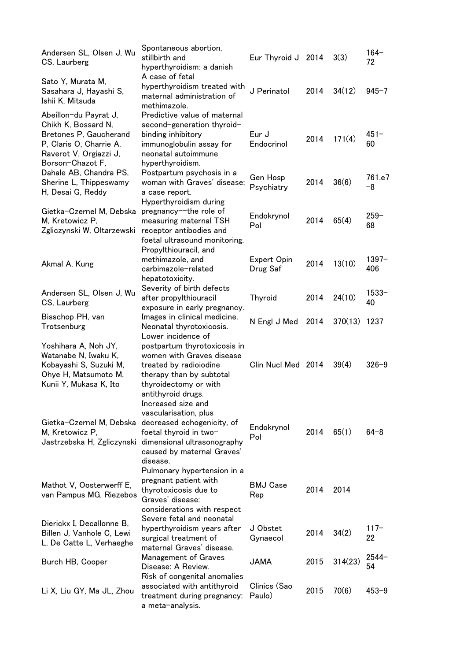| Andersen SL, Olsen J, Wu<br>CS, Laurberg                                                                                                        | Spontaneous abortion,<br>stillbirth and<br>hyperthyroidism: a danish                                                                                                                                        | Eur Thyroid J 2014      |      | 3(3)    | $164-$<br>72    |
|-------------------------------------------------------------------------------------------------------------------------------------------------|-------------------------------------------------------------------------------------------------------------------------------------------------------------------------------------------------------------|-------------------------|------|---------|-----------------|
| Sato Y, Murata M,<br>Sasahara J, Hayashi S,<br>Ishii K, Mitsuda                                                                                 | A case of fetal<br>hyperthyroidism treated with<br>maternal administration of<br>methimazole.                                                                                                               | J Perinatol             | 2014 | 34(12)  | $945 - 7$       |
| Abeillon-du Payrat J,<br>Chikh K, Bossard N,<br>Bretones P, Gaucherand<br>P, Claris O, Charrie A,<br>Raverot V, Orgiazzi J,<br>Borson-Chazot F, | Predictive value of maternal<br>second-generation thyroid-<br>binding inhibitory<br>immunoglobulin assay for<br>neonatal autoimmune<br>hyperthyroidism.                                                     | Eur J<br>Endocrinol     | 2014 | 171(4)  | $451 -$<br>60   |
| Dahale AB, Chandra PS,<br>Sherine L, Thippeswamy<br>H, Desai G, Reddy                                                                           | Postpartum psychosis in a<br>woman with Graves' disease:<br>a case report.<br>Hyperthyroidism during                                                                                                        | Gen Hosp<br>Psychiatry  | 2014 | 36(6)   | 761.e7<br>$-8$  |
| Gietka-Czernel M, Debska<br>M, Kretowicz P,<br>Zgliczynski W, Oltarzewski                                                                       | pregnancy--the role of<br>measuring maternal TSH<br>receptor antibodies and<br>foetal ultrasound monitoring.                                                                                                | Endokrynol<br>Pol       | 2014 | 65(4)   | $259 -$<br>68   |
| Akmal A, Kung                                                                                                                                   | Propylthiouracil, and<br>methimazole, and<br>carbimazole-related<br>hepatotoxicity.                                                                                                                         | Expert Opin<br>Drug Saf | 2014 | 13(10)  | $1397 -$<br>406 |
| Andersen SL, Olsen J, Wu<br>CS, Laurberg                                                                                                        | Severity of birth defects<br>after propylthiouracil<br>exposure in early pregnancy.                                                                                                                         | <b>Thyroid</b>          | 2014 | 24(10)  | $1533 -$<br>40  |
| Bisschop PH, van<br>Trotsenburg                                                                                                                 | Images in clinical medicine.<br>Neonatal thyrotoxicosis.<br>Lower incidence of                                                                                                                              | N Engl J Med            | 2014 | 370(13) | 1237            |
| Yoshihara A, Noh JY,<br>Watanabe N, Iwaku K,<br>Kobayashi S, Suzuki M,<br>Ohye H, Matsumoto M,<br>Kunii Y, Mukasa K, Ito                        | postpartum thyrotoxicosis in<br>women with Graves disease<br>treated by radioiodine<br>therapy than by subtotal<br>thyroidectomy or with<br>antithyroid drugs.                                              | Clin Nucl Med 2014      |      | 39(4)   | $326 - 9$       |
| Gietka-Czernel M, Debska<br>M, Kretowicz P,<br>Jastrzebska H, Zgliczynski                                                                       | Increased size and<br>vascularisation, plus<br>decreased echogenicity, of<br>foetal thyroid in two-<br>dimensional ultrasonography<br>caused by maternal Graves'<br>disease.<br>Pulmonary hypertension in a | Endokrynol<br>Pol       | 2014 | 65(1)   | $64 - 8$        |
| Mathot V, Oosterwerff E,<br>van Pampus MG, Riezebos                                                                                             | pregnant patient with<br>thyrotoxicosis due to<br>Graves' disease:<br>considerations with respect                                                                                                           | <b>BMJ Case</b><br>Rep  | 2014 | 2014    |                 |
| Dierickx I, Decallonne B,<br>Billen J, Vanhole C, Lewi<br>L, De Catte L, Verhaeghe                                                              | Severe fetal and neonatal<br>hyperthyroidism years after<br>surgical treatment of<br>maternal Graves' disease.                                                                                              | J Obstet<br>Gynaecol    | 2014 | 34(2)   | $117-$<br>22    |
| Burch HB, Cooper                                                                                                                                | Management of Graves<br>Disease: A Review.<br>Risk of congenital anomalies                                                                                                                                  | <b>JAMA</b>             | 2015 | 314(23) | $2544-$<br>54   |
| Li X, Liu GY, Ma JL, Zhou                                                                                                                       | associated with antithyroid<br>treatment during pregnancy:<br>a meta-analysis.                                                                                                                              | Clinics (Sao<br>Paulo)  | 2015 | 70(6)   | $453 - 9$       |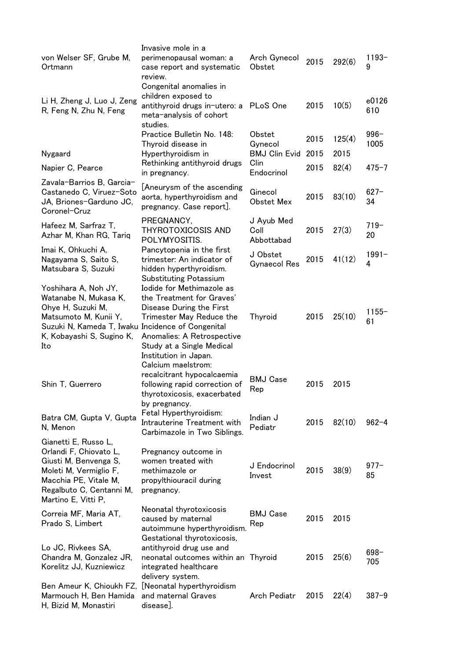| von Welser SF, Grube M,<br>Ortmann                                                                                                                                                   | Invasive mole in a<br>perimenopausal woman: a<br>case report and systematic<br>review.                                                                                                                                              | Arch Gynecol<br>Obstet                    | 2015         | 292(6)         | $1193 -$<br>9   |
|--------------------------------------------------------------------------------------------------------------------------------------------------------------------------------------|-------------------------------------------------------------------------------------------------------------------------------------------------------------------------------------------------------------------------------------|-------------------------------------------|--------------|----------------|-----------------|
| Li H, Zheng J, Luo J, Zeng<br>R, Feng N, Zhu N, Feng                                                                                                                                 | Congenital anomalies in<br>children exposed to<br>antithyroid drugs in-utero: a<br>meta-analysis of cohort<br>studies.                                                                                                              | PLoS One                                  | 2015         | 10(5)          | e0126<br>610    |
| Nygaard                                                                                                                                                                              | Practice Bulletin No. 148:<br>Thyroid disease in<br>Hyperthyroidism in                                                                                                                                                              | Obstet<br>Gynecol<br><b>BMJ Clin Evid</b> | 2015<br>2015 | 125(4)<br>2015 | $996 -$<br>1005 |
| Napier C, Pearce                                                                                                                                                                     | Rethinking antithyroid drugs<br>in pregnancy.                                                                                                                                                                                       | Clin<br>Endocrinol                        | 2015         | 82(4)          | $475 - 7$       |
| Zavala-Barrios B, Garcia-<br>Castanedo C, Viruez-Soto<br>JA, Briones-Garduno JC,<br>Coronel-Cruz                                                                                     | [Aneurysm of the ascending<br>aorta, hyperthyroidism and<br>pregnancy. Case report].                                                                                                                                                | Ginecol<br><b>Obstet Mex</b>              | 2015         | 83(10)         | $627 -$<br>34   |
| Hafeez M, Sarfraz T,<br>Azhar M, Khan RG, Tariq                                                                                                                                      | PREGNANCY,<br><b>THYROTOXICOSIS AND</b><br>POLYMYOSITIS.                                                                                                                                                                            | J Ayub Med<br>Coll<br>Abbottabad          | 2015         | 27(3)          | $719-$<br>20    |
| Imai K, Ohkuchi A,<br>Nagayama S, Saito S,<br>Matsubara S, Suzuki                                                                                                                    | Pancytopenia in the first<br>trimester: An indicator of<br>hidden hyperthyroidism.                                                                                                                                                  | J Obstet<br><b>Gynaecol Res</b>           | 2015         | 41(12)         | $1991 -$<br>4   |
| Yoshihara A, Noh JY,<br>Watanabe N, Mukasa K,<br>Ohye H, Suzuki M,<br>Matsumoto M, Kunii Y,<br>Suzuki N, Kameda T, Iwaku Incidence of Congenital<br>K, Kobayashi S, Sugino K,<br>Ito | <b>Substituting Potassium</b><br>Iodide for Methimazole as<br>the Treatment for Graves'<br>Disease During the First<br>Trimester May Reduce the<br>Anomalies: A Retrospective<br>Study at a Single Medical<br>Institution in Japan. | Thyroid                                   | 2015         | 25(10)         | $1155 -$<br>61  |
| Shin T, Guerrero                                                                                                                                                                     | Calcium maelstrom:<br>recalcitrant hypocalcaemia<br>following rapid correction of<br>thyrotoxicosis, exacerbated<br>by pregnancy.                                                                                                   | <b>BMJ Case</b><br>Rep                    | 2015         | 2015           |                 |
| Batra CM, Gupta V, Gupta<br>N, Menon                                                                                                                                                 | Fetal Hyperthyroidism:<br>Intrauterine Treatment with<br>Carbimazole in Two Siblings.                                                                                                                                               | Indian J<br>Pediatr                       | 2015         | 82(10)         | $962 - 4$       |
| Gianetti E, Russo L,<br>Orlandi F, Chiovato L,<br>Giusti M, Benvenga S,<br>Moleti M, Vermiglio F,<br>Macchia PE, Vitale M,<br>Regalbuto C, Centanni M,<br>Martino E, Vitti P,        | Pregnancy outcome in<br>women treated with<br>methimazole or<br>propylthiouracil during<br>pregnancy.                                                                                                                               | J Endocrinol<br>Invest                    | 2015         | 38(9)          | $977 -$<br>85   |
| Correia MF, Maria AT,<br>Prado S, Limbert                                                                                                                                            | Neonatal thyrotoxicosis<br>caused by maternal<br>autoimmune hyperthyroidism.                                                                                                                                                        | <b>BMJ Case</b><br>Rep                    | 2015         | 2015           |                 |
| Lo JC, Rivkees SA,<br>Chandra M, Gonzalez JR,<br>Korelitz JJ, Kuzniewicz                                                                                                             | Gestational thyrotoxicosis,<br>antithyroid drug use and<br>neonatal outcomes within an<br>integrated healthcare<br>delivery system.                                                                                                 | <b>Thyroid</b>                            | 2015         | 25(6)          | $698 -$<br>705  |
| Ben Ameur K, Chioukh FZ,<br>Marmouch H, Ben Hamida<br>H, Bizid M, Monastiri                                                                                                          | [Neonatal hyperthyroidism<br>and maternal Graves<br>disease].                                                                                                                                                                       | Arch Pediatr                              | 2015         | 22(4)          | $387 - 9$       |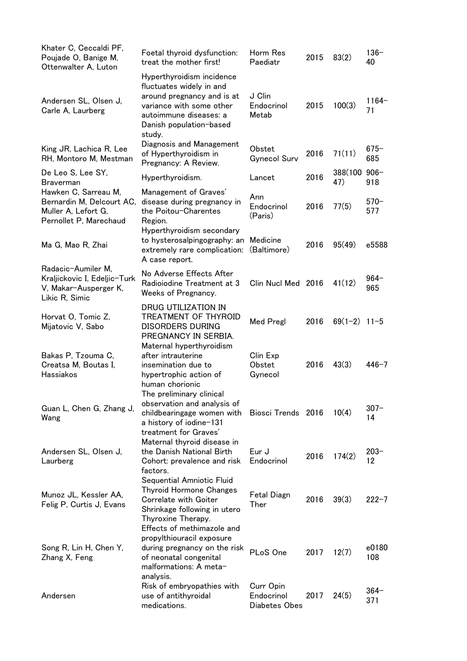| Khater C, Ceccaldi PF,<br>Poujade O, Banige M,<br>Ottenwalter A, Luton                             | Foetal thyroid dysfunction:<br>treat the mother first!                                                                                                                         | Horm Res<br>Paediatr                     | 2015 | 83(2)          | $136 -$<br>40  |
|----------------------------------------------------------------------------------------------------|--------------------------------------------------------------------------------------------------------------------------------------------------------------------------------|------------------------------------------|------|----------------|----------------|
| Andersen SL, Olsen J,<br>Carle A, Laurberg                                                         | Hyperthyroidism incidence<br>fluctuates widely in and<br>around pregnancy and is at<br>variance with some other<br>autoimmune diseases: a<br>Danish population-based<br>study. | J Clin<br>Endocrinol<br>Metab            | 2015 | 100(3)         | $1164-$<br>71  |
| King JR, Lachica R, Lee<br>RH, Montoro M, Mestman                                                  | Diagnosis and Management<br>of Hyperthyroidism in<br>Pregnancy: A Review.                                                                                                      | Obstet<br><b>Gynecol Surv</b>            | 2016 | 71(11)         | $675 -$<br>685 |
| De Leo S, Lee SY,<br><b>Braverman</b>                                                              | Hyperthyroidism.                                                                                                                                                               | Lancet                                   | 2016 | 388(100<br>47) | $906 -$<br>918 |
| Hawken C, Sarreau M,<br>Bernardin M, Delcourt AC,<br>Muller A, Lefort G,<br>Pernollet P, Marechaud | Management of Graves'<br>disease during pregnancy in<br>the Poitou-Charentes<br>Region.                                                                                        | Ann<br>Endocrinol<br>(Paris)             | 2016 | 77(5)          | $570 -$<br>577 |
| Ma G, Mao R, Zhai                                                                                  | Hyperthyroidism secondary<br>to hysterosalpingography: an<br>extremely rare complication:<br>A case report.                                                                    | Medicine<br>(Baltimore)                  | 2016 | 95(49)         | e5588          |
| Radacic-Aumiler M,<br>Kraljickovic I, Edeljic-Turk<br>V, Makar-Ausperger K,<br>Likic R, Simic      | No Adverse Effects After<br>Radioiodine Treatment at 3<br>Weeks of Pregnancy.                                                                                                  | Clin Nucl Med 2016                       |      | 41(12)         | $964 -$<br>965 |
| Horvat O, Tomic Z,<br>Mijatovic V, Sabo                                                            | DRUG UTILIZATION IN<br>TREATMENT OF THYROID<br><b>DISORDERS DURING</b><br>PREGNANCY IN SERBIA.                                                                                 | Med Pregl                                | 2016 | $69(1-2)$ 11-5 |                |
| Bakas P, Tzouma C,<br>Creatsa M, Boutas I,<br>Hassiakos                                            | Maternal hyperthyroidism<br>after intrauterine<br>insemination due to<br>hypertrophic action of<br>human chorionic                                                             | Clin Exp<br>Obstet<br>Gynecol            | 2016 | 43(3)          | $446 - 7$      |
| Guan L, Chen G, Zhang J,<br>Wang                                                                   | The preliminary clinical<br>observation and analysis of<br>childbearingage women with<br>a history of iodine-131<br>treatment for Graves'                                      | Biosci Trends 2016                       |      | 10(4)          | $307 -$<br>14  |
| Andersen SL, Olsen J,<br>Laurberg                                                                  | Maternal thyroid disease in<br>the Danish National Birth<br>Cohort: prevalence and risk<br>factors.                                                                            | Eur J<br>Endocrinol                      | 2016 | 174(2)         | $203 -$<br>12  |
| Munoz JL, Kessler AA,<br>Felig P, Curtis J, Evans                                                  | Sequential Amniotic Fluid<br><b>Thyroid Hormone Changes</b><br>Correlate with Goiter<br>Shrinkage following in utero<br>Thyroxine Therapy.<br>Effects of methimazole and       | Fetal Diagn<br>Ther                      | 2016 | 39(3)          | $222 - 7$      |
| Song R, Lin H, Chen Y,<br>Zhang X, Feng                                                            | propylthiouracil exposure<br>during pregnancy on the risk<br>of neonatal congenital<br>malformations: A meta-<br>analysis.                                                     | PLoS One                                 | 2017 | 12(7)          | e0180<br>108   |
| Andersen                                                                                           | Risk of embryopathies with<br>use of antithyroidal<br>medications.                                                                                                             | Curr Opin<br>Endocrinol<br>Diabetes Obes | 2017 | 24(5)          | $364-$<br>371  |